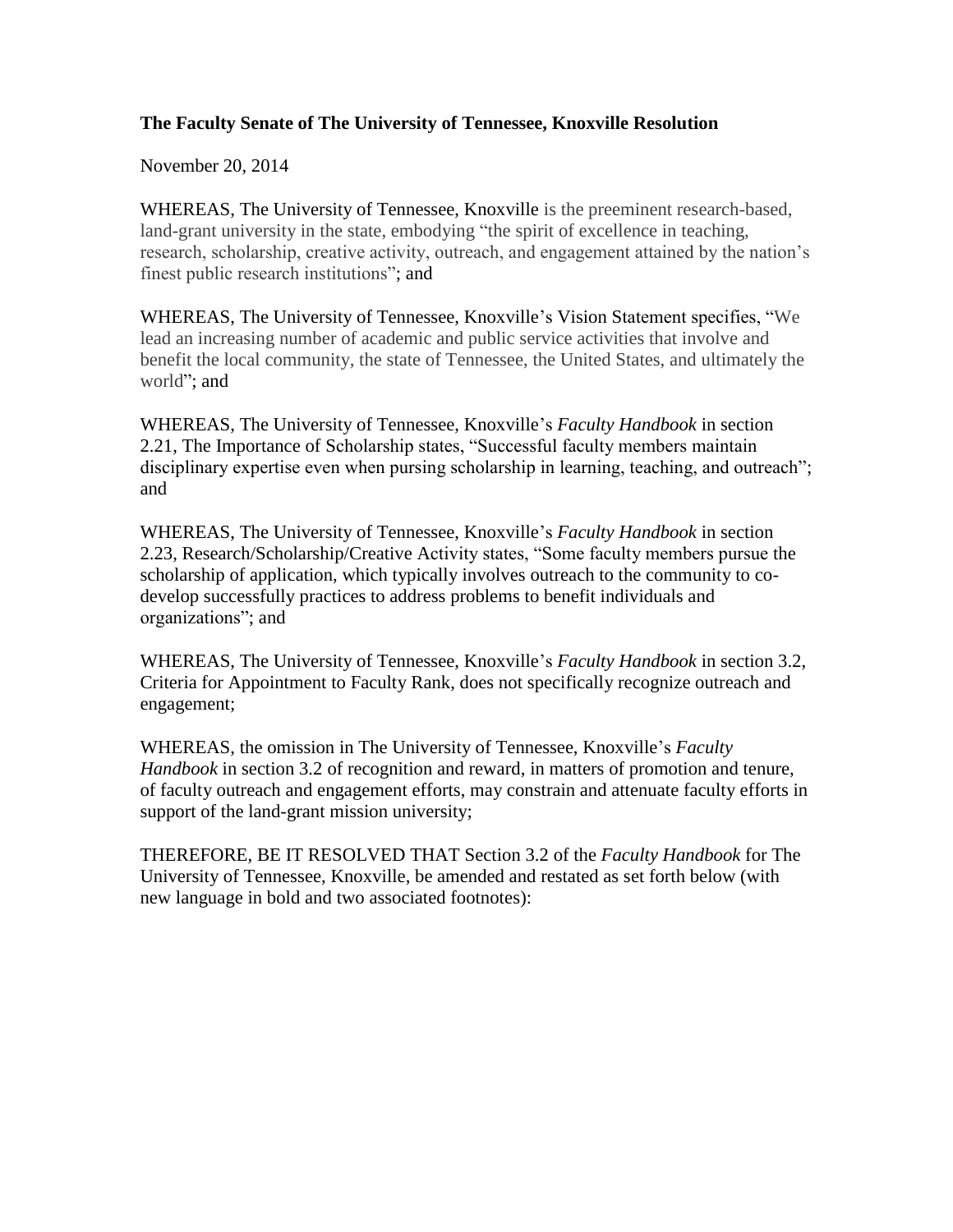## **The Faculty Senate of The University of Tennessee, Knoxville Resolution**

November 20, 2014

WHEREAS, The University of Tennessee, Knoxville is the preeminent research-based, land-grant university in the state, embodying "the spirit of excellence in teaching, research, scholarship, creative activity, outreach, and engagement attained by the nation's finest public research institutions"; and

WHEREAS, The University of Tennessee, Knoxville's Vision Statement specifies, "We lead an increasing number of academic and public service activities that involve and benefit the local community, the state of Tennessee, the United States, and ultimately the world"; and

WHEREAS, The University of Tennessee, Knoxville's *Faculty Handbook* in section 2.21, The Importance of Scholarship states, "Successful faculty members maintain disciplinary expertise even when pursing scholarship in learning, teaching, and outreach"; and

WHEREAS, The University of Tennessee, Knoxville's *Faculty Handbook* in section 2.23, Research/Scholarship/Creative Activity states, "Some faculty members pursue the scholarship of application, which typically involves outreach to the community to codevelop successfully practices to address problems to benefit individuals and organizations"; and

WHEREAS, The University of Tennessee, Knoxville's *Faculty Handbook* in section 3.2, Criteria for Appointment to Faculty Rank, does not specifically recognize outreach and engagement;

WHEREAS, the omission in The University of Tennessee, Knoxville's *Faculty Handbook* in section 3.2 of recognition and reward, in matters of promotion and tenure, of faculty outreach and engagement efforts, may constrain and attenuate faculty efforts in support of the land-grant mission university;

THEREFORE, BE IT RESOLVED THAT Section 3.2 of the *Faculty Handbook* for The University of Tennessee, Knoxville, be amended and restated as set forth below (with new language in bold and two associated footnotes):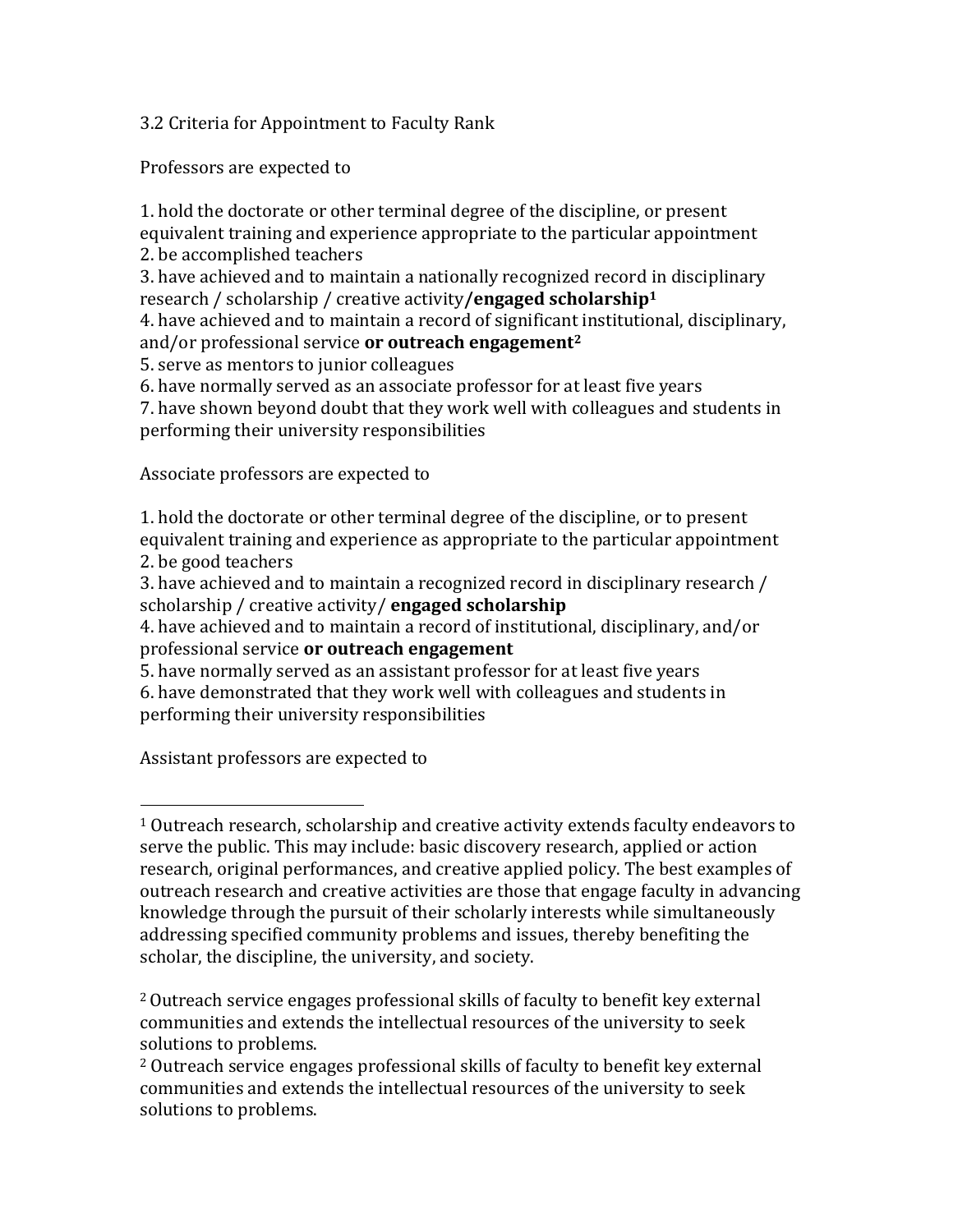3.2 Criteria for Appointment to Faculty Rank

Professors are expected to

1. hold the doctorate or other terminal degree of the discipline, or present equivalent training and experience appropriate to the particular appointment 2. be accomplished teachers

3. have achieved and to maintain a nationally recognized record in disciplinary research / scholarship / creative activity**/engaged scholarship<sup>1</sup>**

4. have achieved and to maintain a record of significant institutional, disciplinary, and/or professional service **or outreach engagement<sup>2</sup>**

5. serve as mentors to junior colleagues

6. have normally served as an associate professor for at least five years

7. have shown beyond doubt that they work well with colleagues and students in performing their university responsibilities

Associate professors are expected to

1. hold the doctorate or other terminal degree of the discipline, or to present equivalent training and experience as appropriate to the particular appointment 2. be good teachers

3. have achieved and to maintain a recognized record in disciplinary research / scholarship / creative activity/ **engaged scholarship**

4. have achieved and to maintain a record of institutional, disciplinary, and/or professional service **or outreach engagement**

5. have normally served as an assistant professor for at least five years

6. have demonstrated that they work well with colleagues and students in performing their university responsibilities

Assistant professors are expected to

l

<sup>1</sup> Outreach research, scholarship and creative activity extends faculty endeavors to serve the public. This may include: basic discovery research, applied or action research, original performances, and creative applied policy. The best examples of outreach research and creative activities are those that engage faculty in advancing knowledge through the pursuit of their scholarly interests while simultaneously addressing specified community problems and issues, thereby benefiting the scholar, the discipline, the university, and society.

<sup>2</sup>Outreach service engages professional skills of faculty to benefit key external communities and extends the intellectual resources of the university to seek solutions to problems.

<sup>2</sup> Outreach service engages professional skills of faculty to benefit key external communities and extends the intellectual resources of the university to seek solutions to problems.